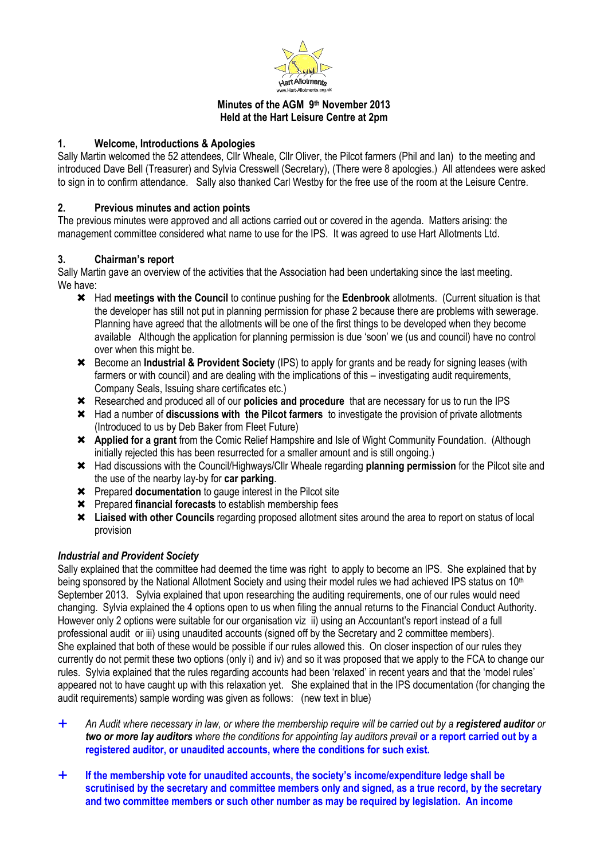

#### **Minutes of the AGM 9 th November 2013 Held at the Hart Leisure Centre at 2pm**

## **1. Welcome, Introductions & Apologies**

Sally Martin welcomed the 52 attendees, Cllr Wheale, Cllr Oliver, the Pilcot farmers (Phil and Ian) to the meeting and introduced Dave Bell (Treasurer) and Sylvia Cresswell (Secretary), (There were 8 apologies.) All attendees were asked to sign in to confirm attendance. Sally also thanked Carl Westby for the free use of the room at the Leisure Centre.

## **2. Previous minutes and action points**

The previous minutes were approved and all actions carried out or covered in the agenda. Matters arising: the management committee considered what name to use for the IPS. It was agreed to use Hart Allotments Ltd.

#### **3. Chairman's report**

Sally Martin gave an overview of the activities that the Association had been undertaking since the last meeting. We have:

- Had **meetings with the Council** to continue pushing for the **Edenbrook** allotments. (Current situation is that the developer has still not put in planning permission for phase 2 because there are problems with sewerage. Planning have agreed that the allotments will be one of the first things to be developed when they become available Although the application for planning permission is due 'soon' we (us and council) have no control over when this might be.
- Become an **Industrial & Provident Society** (IPS) to apply for grants and be ready for signing leases (with farmers or with council) and are dealing with the implications of this – investigating audit requirements, Company Seals, Issuing share certificates etc.)
- Researched and produced all of our **policies and procedure** that are necessary for us to run the IPS
- Had a number of **discussions with the Pilcot farmers** to investigate the provision of private allotments (Introduced to us by Deb Baker from Fleet Future)
- **Applied for a grant** from the Comic Relief Hampshire and Isle of Wight Community Foundation. (Although initially rejected this has been resurrected for a smaller amount and is still ongoing.)
- Had discussions with the Council/Highways/Cllr Wheale regarding **planning permission** for the Pilcot site and the use of the nearby lay-by for **car parking**.
- Prepared **documentation** to gauge interest in the Pilcot site
- Prepared **financial forecasts** to establish membership fees
- **Liaised with other Councils** regarding proposed allotment sites around the area to report on status of local provision

# *Industrial and Provident Society*

Sally explained that the committee had deemed the time was right to apply to become an IPS. She explained that by being sponsored by the National Allotment Society and using their model rules we had achieved IPS status on 10<sup>th</sup> September 2013. Sylvia explained that upon researching the auditing requirements, one of our rules would need changing. Sylvia explained the 4 options open to us when filing the annual returns to the Financial Conduct Authority. However only 2 options were suitable for our organisation viz ii) using an Accountant's report instead of a full professional audit or iii) using unaudited accounts (signed off by the Secretary and 2 committee members). She explained that both of these would be possible if our rules allowed this. On closer inspection of our rules they currently do not permit these two options (only i) and iv) and so it was proposed that we apply to the FCA to change our rules. Sylvia explained that the rules regarding accounts had been 'relaxed' in recent years and that the 'model rules' appeared not to have caught up with this relaxation yet. She explained that in the IPS documentation (for changing the audit requirements) sample wording was given as follows: (new text in blue)

- *An Audit where necessary in law, or where the membership require will be carried out by a registered auditor or two or more lay auditors where the conditions for appointing lay auditors prevail* **or a report carried out by a registered auditor, or unaudited accounts, where the conditions for such exist.**
- **If the membership vote for unaudited accounts, the society's income/expenditure ledge shall be scrutinised by the secretary and committee members only and signed, as a true record, by the secretary and two committee members or such other number as may be required by legislation. An income**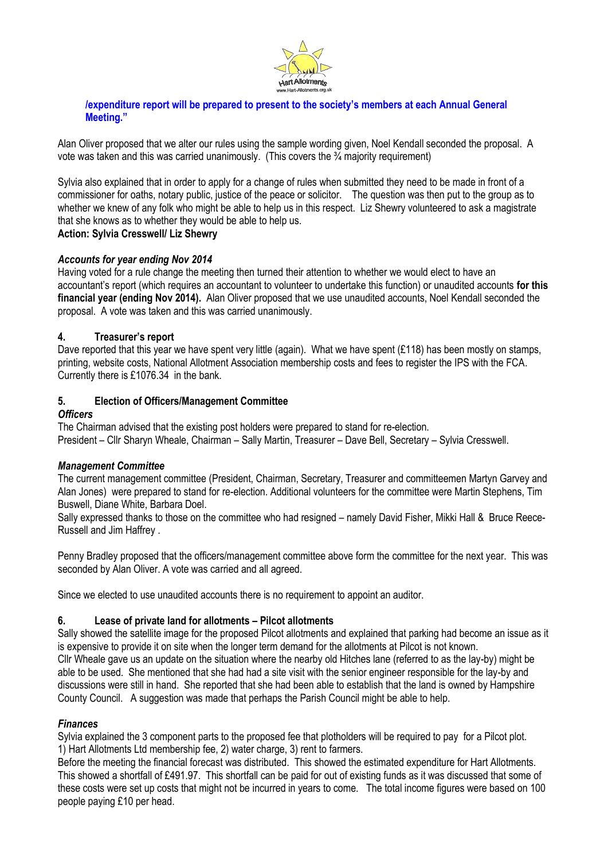

#### **/expenditure report will be prepared to present to the society's members at each Annual General Meeting."**

Alan Oliver proposed that we alter our rules using the sample wording given, Noel Kendall seconded the proposal. A vote was taken and this was carried unanimously. (This covers the  $\frac{3}{4}$  majority requirement)

Sylvia also explained that in order to apply for a change of rules when submitted they need to be made in front of a commissioner for oaths, notary public, justice of the peace or solicitor. The question was then put to the group as to whether we knew of any folk who might be able to help us in this respect. Liz Shewry volunteered to ask a magistrate that she knows as to whether they would be able to help us.

# **Action: Sylvia Cresswell/ Liz Shewry**

# *Accounts for year ending Nov 2014*

Having voted for a rule change the meeting then turned their attention to whether we would elect to have an accountant's report (which requires an accountant to volunteer to undertake this function) or unaudited accounts **for this financial year (ending Nov 2014).** Alan Oliver proposed that we use unaudited accounts, Noel Kendall seconded the proposal. A vote was taken and this was carried unanimously.

#### **4. Treasurer's report**

Dave reported that this year we have spent very little (again). What we have spent (£118) has been mostly on stamps, printing, website costs, National Allotment Association membership costs and fees to register the IPS with the FCA. Currently there is £1076.34 in the bank.

#### **5. Election of Officers/Management Committee**

#### *Officers*

The Chairman advised that the existing post holders were prepared to stand for re-election. President – Cllr Sharyn Wheale, Chairman – Sally Martin, Treasurer – Dave Bell, Secretary – Sylvia Cresswell.

#### *Management Committee*

The current management committee (President, Chairman, Secretary, Treasurer and committeemen Martyn Garvey and Alan Jones) were prepared to stand for re-election. Additional volunteers for the committee were Martin Stephens, Tim Buswell, Diane White, Barbara Doel.

Sally expressed thanks to those on the committee who had resigned – namely David Fisher, Mikki Hall & Bruce Reece-Russell and Jim Haffrey .

Penny Bradley proposed that the officers/management committee above form the committee for the next year. This was seconded by Alan Oliver. A vote was carried and all agreed.

Since we elected to use unaudited accounts there is no requirement to appoint an auditor.

# **6. Lease of private land for allotments – Pilcot allotments**

Sally showed the satellite image for the proposed Pilcot allotments and explained that parking had become an issue as it is expensive to provide it on site when the longer term demand for the allotments at Pilcot is not known. Cllr Wheale gave us an update on the situation where the nearby old Hitches lane (referred to as the lay-by) might be able to be used. She mentioned that she had had a site visit with the senior engineer responsible for the lay-by and discussions were still in hand. She reported that she had been able to establish that the land is owned by Hampshire County Council. A suggestion was made that perhaps the Parish Council might be able to help.

#### *Finances*

Sylvia explained the 3 component parts to the proposed fee that plotholders will be required to pay for a Pilcot plot. 1) Hart Allotments Ltd membership fee, 2) water charge, 3) rent to farmers.

Before the meeting the financial forecast was distributed. This showed the estimated expenditure for Hart Allotments. This showed a shortfall of £491.97. This shortfall can be paid for out of existing funds as it was discussed that some of these costs were set up costs that might not be incurred in years to come. The total income figures were based on 100 people paying £10 per head.